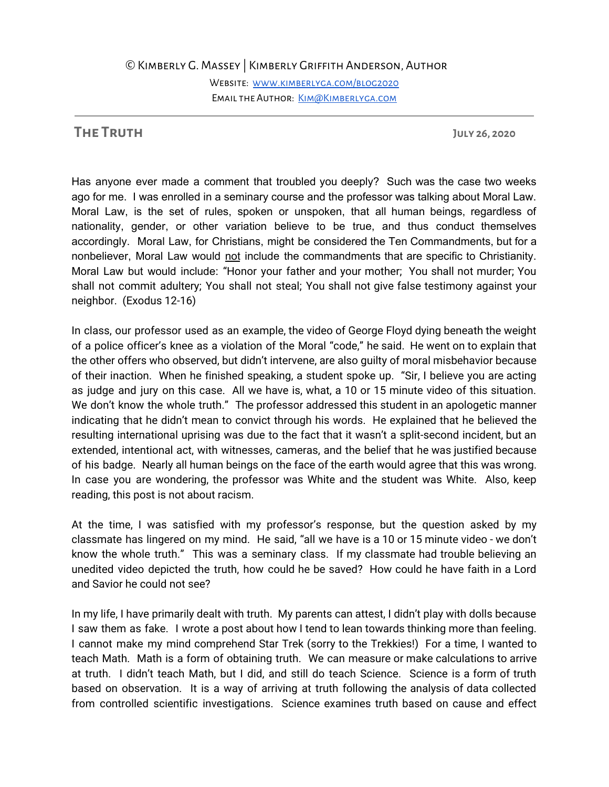©Kimberly G. Massey | Kimberly Griffith Anderson, Author

Website: [www.kimberlyga.com/blog2020](http://www.kimberlyga.com/blog2020) EMAIL THE AUTHOR: KIM@KIMBERLYGA.COM

## **The Truth July 26, 2020**

Has anyone ever made a comment that troubled you deeply? Such was the case two weeks ago for me. I was enrolled in a seminary course and the professor was talking about Moral Law. Moral Law, is the set of rules, spoken or unspoken, that all human beings, regardless of nationality, gender, or other variation believe to be true, and thus conduct themselves accordingly. Moral Law, for Christians, might be considered the Ten Commandments, but for a nonbeliever, Moral Law would not include the commandments that are specific to Christianity. Moral Law but would include: "Honor your father and your mother; You shall not murder; You shall not commit adultery; You shall not steal; You shall not give false testimony against your neighbor. (Exodus 12-16)

In class, our professor used as an example, the video of George Floyd dying beneath the weight of a police officer's knee as a violation of the Moral "code," he said. He went on to explain that the other offers who observed, but didn't intervene, are also guilty of moral misbehavior because of their inaction. When he finished speaking, a student spoke up. "Sir, I believe you are acting as judge and jury on this case. All we have is, what, a 10 or 15 minute video of this situation. We don't know the whole truth." The professor addressed this student in an apologetic manner indicating that he didn't mean to convict through his words. He explained that he believed the resulting international uprising was due to the fact that it wasn't a split-second incident, but an extended, intentional act, with witnesses, cameras, and the belief that he was justified because of his badge. Nearly all human beings on the face of the earth would agree that this was wrong. In case you are wondering, the professor was White and the student was White. Also, keep reading, this post is not about racism.

At the time, I was satisfied with my professor's response, but the question asked by my classmate has lingered on my mind. He said, "all we have is a 10 or 15 minute video - we don't know the whole truth." This was a seminary class. If my classmate had trouble believing an unedited video depicted the truth, how could he be saved? How could he have faith in a Lord and Savior he could not see?

In my life, I have primarily dealt with truth. My parents can attest, I didn't play with dolls because I saw them as fake. I wrote a post about how I tend to lean towards thinking more than feeling. I cannot make my mind comprehend Star Trek (sorry to the Trekkies!) For a time, I wanted to teach Math. Math is a form of obtaining truth. We can measure or make calculations to arrive at truth. I didn't teach Math, but I did, and still do teach Science. Science is a form of truth based on observation. It is a way of arriving at truth following the analysis of data collected from controlled scientific investigations. Science examines truth based on cause and effect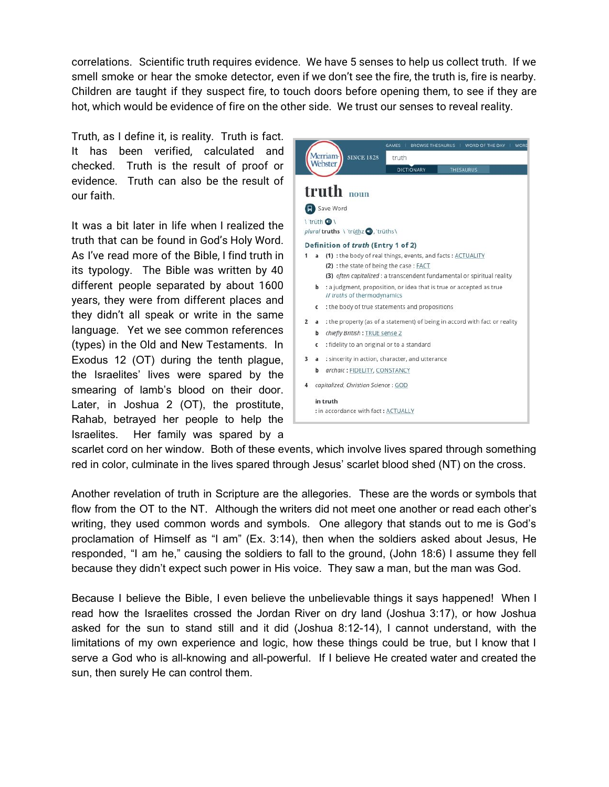correlations. Scientific truth requires evidence. We have 5 senses to help us collect truth. If we smell smoke or hear the smoke detector, even if we don't see the fire, the truth is, fire is nearby. Children are taught if they suspect fire, to touch doors before opening them, to see if they are hot, which would be evidence of fire on the other side. We trust our senses to reveal reality.

Truth, as I define it, is reality. Truth is fact. It has been verified, calculated and checked. Truth is the result of proof or evidence. Truth can also be the result of our faith.

It was a bit later in life when I realized the truth that can be found in God's Holy Word. As I've read more of the Bible, I find truth in its typology. The Bible was written by 40 different people separated by about 1600 years, they were from different places and they didn't all speak or write in the same language. Yet we see common references (types) in the Old and New Testaments. In Exodus 12 (OT) during the tenth plague, the Israelites' lives were spared by the smearing of lamb's blood on their door. Later, in Joshua 2 (OT), the prostitute, Rahab, betrayed her people to help the Israelites. Her family was spared by a



scarlet cord on her window. Both of these events, which involve lives spared through something red in color, culminate in the lives spared through Jesus' scarlet blood shed (NT) on the cross.

Another revelation of truth in Scripture are the allegories. These are the words or symbols that flow from the OT to the NT. Although the writers did not meet one another or read each other's writing, they used common words and symbols. One allegory that stands out to me is God's proclamation of Himself as "I am" (Ex. 3:14), then when the soldiers asked about Jesus, He responded, "I am he," causing the soldiers to fall to the ground, (John 18:6) I assume they fell because they didn't expect such power in His voice. They saw a man, but the man was God.

Because I believe the Bible, I even believe the unbelievable things it says happened! When I read how the Israelites crossed the Jordan River on dry land (Joshua 3:17), or how Joshua asked for the sun to stand still and it did (Joshua 8:12-14), I cannot understand, with the limitations of my own experience and logic, how these things could be true, but I know that I serve a God who is all-knowing and all-powerful. If I believe He created water and created the sun, then surely He can control them.